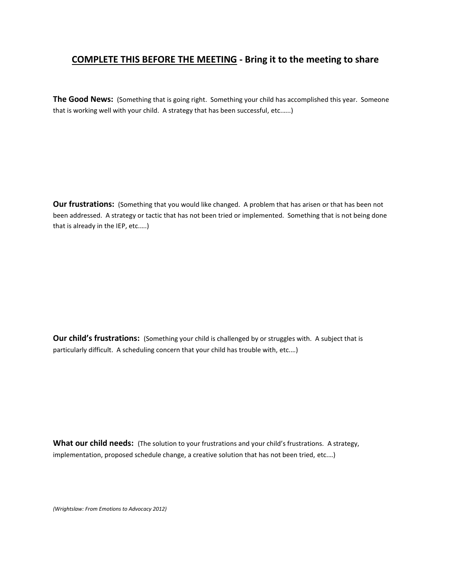## **COMPLETE THIS BEFORE THE MEETING - Bring it to the meeting to share**

**The Good News:** (Something that is going right. Something your child has accomplished this year. Someone that is working well with your child. A strategy that has been successful, etc.…..)

**Our frustrations:** (Something that you would like changed. A problem that has arisen or that has been not been addressed. A strategy or tactic that has not been tried or implemented. Something that is not being done that is already in the IEP, etc.….)

**Our child's frustrations:** (Something your child is challenged by or struggles with. A subject that is particularly difficult. A scheduling concern that your child has trouble with, etc.…)

**What our child needs:** (The solution to your frustrations and your child's frustrations. A strategy, implementation, proposed schedule change, a creative solution that has not been tried, etc.…)

*(Wrightslaw: From Emotions to Advocacy 2012)*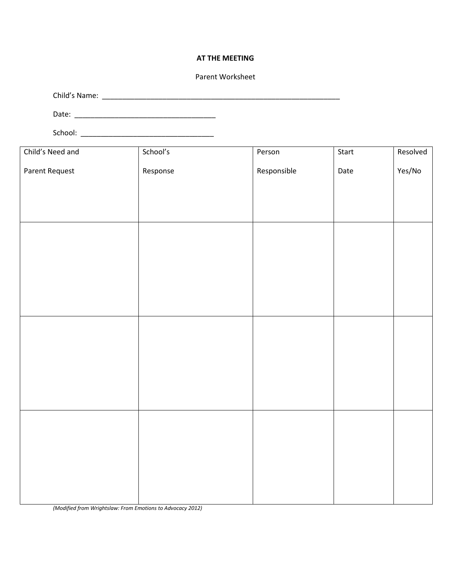## **AT THE MEETING**

## Parent Worksheet

Child's Name: \_\_\_\_\_\_\_\_\_\_\_\_\_\_\_\_\_\_\_\_\_\_\_\_\_\_\_\_\_\_\_\_\_\_\_\_\_\_\_\_\_\_\_\_\_\_\_\_\_\_\_\_\_\_\_\_\_\_\_

Date: \_\_\_\_\_\_\_\_\_\_\_\_\_\_\_\_\_\_\_\_\_\_\_\_\_\_\_\_\_\_\_\_\_\_\_

School: \_\_\_\_\_\_\_\_\_\_\_\_\_\_\_\_\_\_\_\_\_\_\_\_\_\_\_\_\_\_\_\_\_

| Child's Need and | School's | Person      | Start | Resolved |
|------------------|----------|-------------|-------|----------|
| Parent Request   | Response | Responsible | Date  | Yes/No   |
|                  |          |             |       |          |
|                  |          |             |       |          |
|                  |          |             |       |          |
|                  |          |             |       |          |
|                  |          |             |       |          |
|                  |          |             |       |          |
|                  |          |             |       |          |
|                  |          |             |       |          |
|                  |          |             |       |          |
|                  |          |             |       |          |
|                  |          |             |       |          |
|                  |          |             |       |          |
|                  |          |             |       |          |
|                  |          |             |       |          |
|                  |          |             |       |          |
|                  |          |             |       |          |
|                  |          |             |       |          |
|                  |          |             |       |          |
|                  |          |             |       |          |
|                  |          |             |       |          |
|                  |          |             |       |          |

*(Modified from Wrightslaw: From Emotions to Advocacy 2012)*